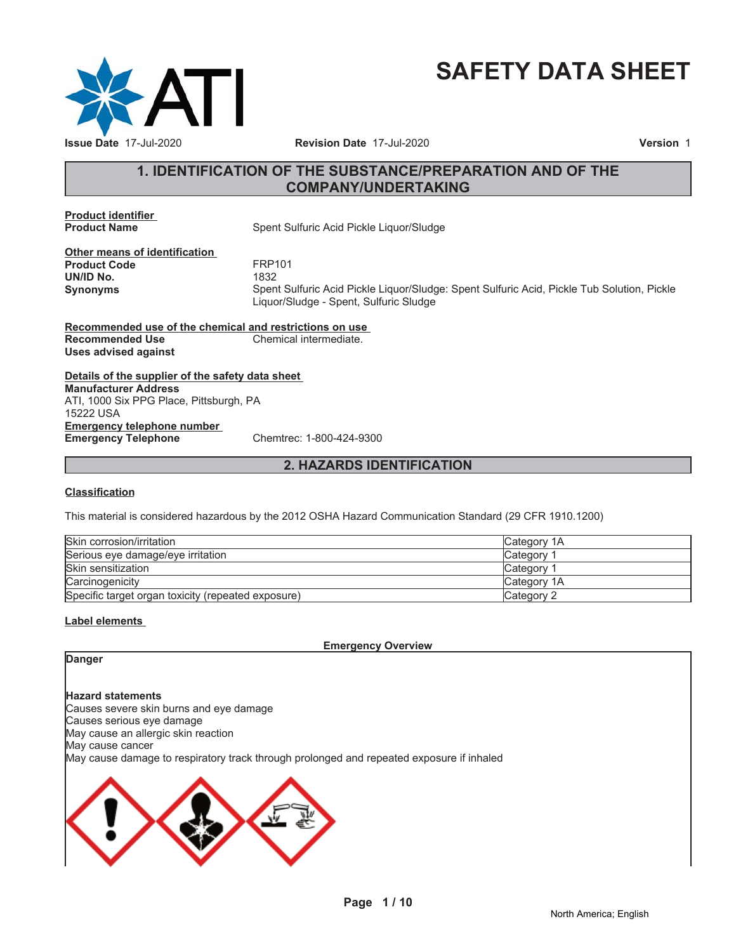

# **SAFETY DATA SHEET**

# **1. IDENTIFICATION OF THE SUBSTANCE/PREPARATION AND OF THE COMPANY/UNDERTAKING**

**Product identifier**

**Spent Sulfuric Acid Pickle Liquor/Sludge** 

**Other means of identification Product Code FRP101**<br> **UN/ID No.** 1832 **UN/ID No.** 

**Synonyms** Spent Sulfuric Acid Pickle Liquor/Sludge: Spent Sulfuric Acid, Pickle Tub Solution, Pickle Liquor/Sludge - Spent, Sulfuric Sludge

**Recommended use of the chemical and restrictions on use Recommended Use Chemical intermediate. Uses advised against**

**Details of the supplier of the safety data sheet Emergency telephone number Emergency Telephone** Chemtrec: 1-800-424-9300 **Manufacturer Address** ATI, 1000 Six PPG Place, Pittsburgh, PA 15222 USA

### **2. HAZARDS IDENTIFICATION**

#### **Classification**

This material is considered hazardous by the 2012 OSHA Hazard Communication Standard (29 CFR 1910.1200)

| Skin corrosion/irritation                          | Category 1A        |
|----------------------------------------------------|--------------------|
| Serious eye damage/eye irritation                  | Category 1         |
| Skin sensitization                                 | Category           |
| Carcinogenicity                                    | <b>Category 1A</b> |
| Specific target organ toxicity (repeated exposure) | Category 2         |

#### **Label elements**

**Emergency Overview**

# **Danger**

#### **Hazard statements**

Causes severe skin burns and eye damage Causes serious eye damage May cause an allergic skin reaction May cause cancer May cause damage to respiratory track through prolonged and repeated exposure if inhaled

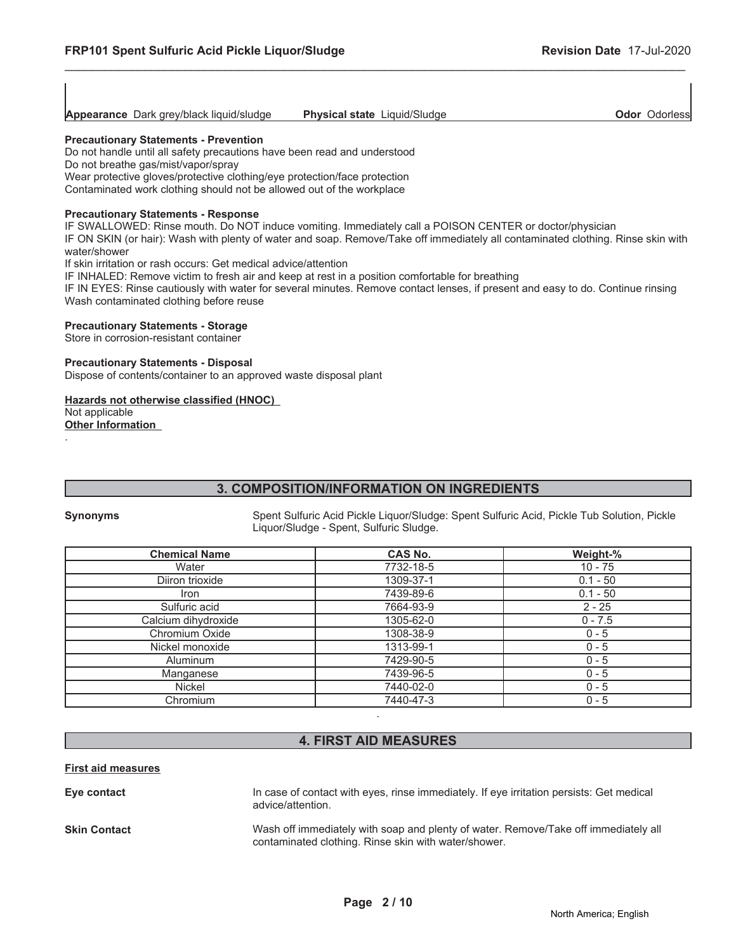| Appearance Dark grey/black liquid/sludge | <b>Physical state Liquid/Sludge</b> | Odor<br><b>Odorless</b> |
|------------------------------------------|-------------------------------------|-------------------------|
|                                          |                                     |                         |

#### **Precautionary Statements - Prevention**

Do not handle until all safety precautions have been read and understood Do not breathe gas/mist/vapor/spray Wear protective gloves/protective clothing/eye protection/face protection Contaminated work clothing should not be allowed out of the workplace

#### **Precautionary Statements - Response**

IF SWALLOWED: Rinse mouth. Do NOT induce vomiting. Immediately call a POISON CENTER or doctor/physician

IF ON SKIN (or hair): Wash with plenty of water and soap. Remove/Take off immediately all contaminated clothing. Rinse skin with water/shower

If skin irritation or rash occurs: Get medical advice/attention

IF INHALED: Remove victim to fresh air and keep at rest in a position comfortable for breathing

IF IN EYES: Rinse cautiously with water for several minutes. Remove contact lenses, if present and easy to do. Continue rinsing Wash contaminated clothing before reuse

#### **Precautionary Statements - Storage**

Store in corrosion-resistant container

#### **Precautionary Statements - Disposal**

Dispose of contents/container to an approved waste disposal plant

#### **Hazards not otherwise classified (HNOC)**

Not applicable

**Other Information** .

### **3. COMPOSITION/INFORMATION ON INGREDIENTS**

**Synonyms** Spent Sulfuric Acid Pickle Liquor/Sludge: Spent Sulfuric Acid, Pickle Tub Solution, Pickle Liquor/Sludge - Spent, Sulfuric Sludge.

| <b>Chemical Name</b> | <b>CAS No.</b> | Weight-%   |
|----------------------|----------------|------------|
| Water                | 7732-18-5      | $10 - 75$  |
| Diiron trioxide      | 1309-37-1      | $0.1 - 50$ |
| <b>Iron</b>          | 7439-89-6      | $0.1 - 50$ |
| Sulfuric acid        | 7664-93-9      | $2 - 25$   |
| Calcium dihydroxide  | 1305-62-0      | $0 - 7.5$  |
| Chromium Oxide       | 1308-38-9      | $0 - 5$    |
| Nickel monoxide      | 1313-99-1      | $0 - 5$    |
| Aluminum             | 7429-90-5      | $0 - 5$    |
| Manganese            | 7439-96-5      | $0 - 5$    |
| Nickel               | 7440-02-0      | $0 - 5$    |
| Chromium             | 7440-47-3      | $0 - 5$    |
|                      |                |            |

# **4. FIRST AID MEASURES**

#### **First aid measures**

| Eye contact  | In case of contact with eyes, rinse immediately. If eye irritation persists: Get medical<br>advice/attention.                               |
|--------------|---------------------------------------------------------------------------------------------------------------------------------------------|
| Skin Contact | Wash off immediately with soap and plenty of water. Remove/Take off immediately all<br>contaminated clothing. Rinse skin with water/shower. |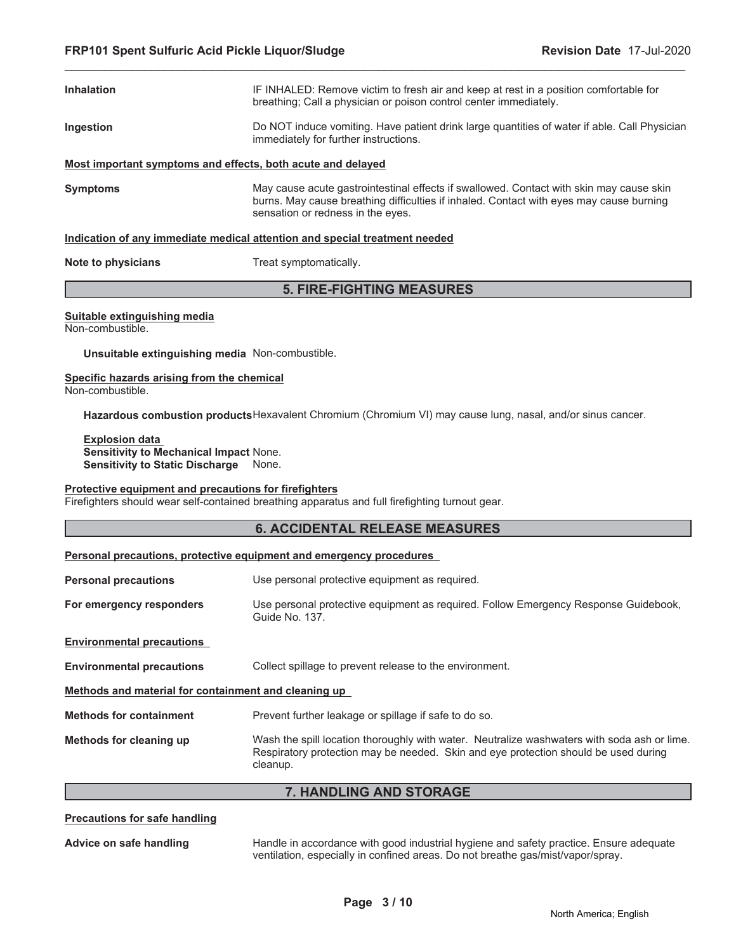| <b>Inhalation</b> | IF INHALED: Remove victim to fresh air and keep at rest in a position comfortable for<br>breathing; Call a physician or poison control center immediately.                                                              |
|-------------------|-------------------------------------------------------------------------------------------------------------------------------------------------------------------------------------------------------------------------|
| Ingestion         | Do NOT induce vomiting. Have patient drink large quantities of water if able. Call Physician<br>immediately for further instructions.                                                                                   |
|                   | Most important symptoms and effects, both acute and delayed                                                                                                                                                             |
| <b>Symptoms</b>   | May cause acute gastrointestinal effects if swallowed. Contact with skin may cause skin<br>burns. May cause breathing difficulties if inhaled. Contact with eyes may cause burning<br>sensation or redness in the eyes. |
|                   | Indication of any immediate medical attention and special treatment needed                                                                                                                                              |

**Note to physicians** Treat symptomatically.

# **5. FIRE-FIGHTING MEASURES**

#### **Suitable extinguishing media** Non-combustible.

**Unsuitable extinguishing media** Non-combustible.

#### **Specific hazards arising from the chemical** Non-combustible.

**Hazardous combustion products**Hexavalent Chromium (Chromium VI) may cause lung, nasal, and/or sinus cancer.

**Explosion data Sensitivity to Mechanical Impact** None. **Sensitivity to Static Discharge** None.

#### **Protective equipment and precautions for firefighters**

Firefighters should wear self-contained breathing apparatus and full firefighting turnout gear.

### **6. ACCIDENTAL RELEASE MEASURES**

#### **Personal precautions, protective equipment and emergency procedures**

| <b>Personal precautions</b>                          | Use personal protective equipment as required.                                                                                                                                                 |  |  |
|------------------------------------------------------|------------------------------------------------------------------------------------------------------------------------------------------------------------------------------------------------|--|--|
| For emergency responders                             | Use personal protective equipment as required. Follow Emergency Response Guidebook,<br>Guide No. 137.                                                                                          |  |  |
| <b>Environmental precautions</b>                     |                                                                                                                                                                                                |  |  |
| <b>Environmental precautions</b>                     | Collect spillage to prevent release to the environment.                                                                                                                                        |  |  |
| Methods and material for containment and cleaning up |                                                                                                                                                                                                |  |  |
| <b>Methods for containment</b>                       | Prevent further leakage or spillage if safe to do so.                                                                                                                                          |  |  |
| Methods for cleaning up                              | Wash the spill location thoroughly with water. Neutralize washwaters with soda ash or lime.<br>Respiratory protection may be needed. Skin and eye protection should be used during<br>cleanup. |  |  |

#### **7. HANDLING AND STORAGE**

#### **Precautions for safe handling**

**Advice on safe handling** Handle in accordance with good industrial hygiene and safety practice. Ensure adequate ventilation, especially in confined areas. Do not breathe gas/mist/vapor/spray.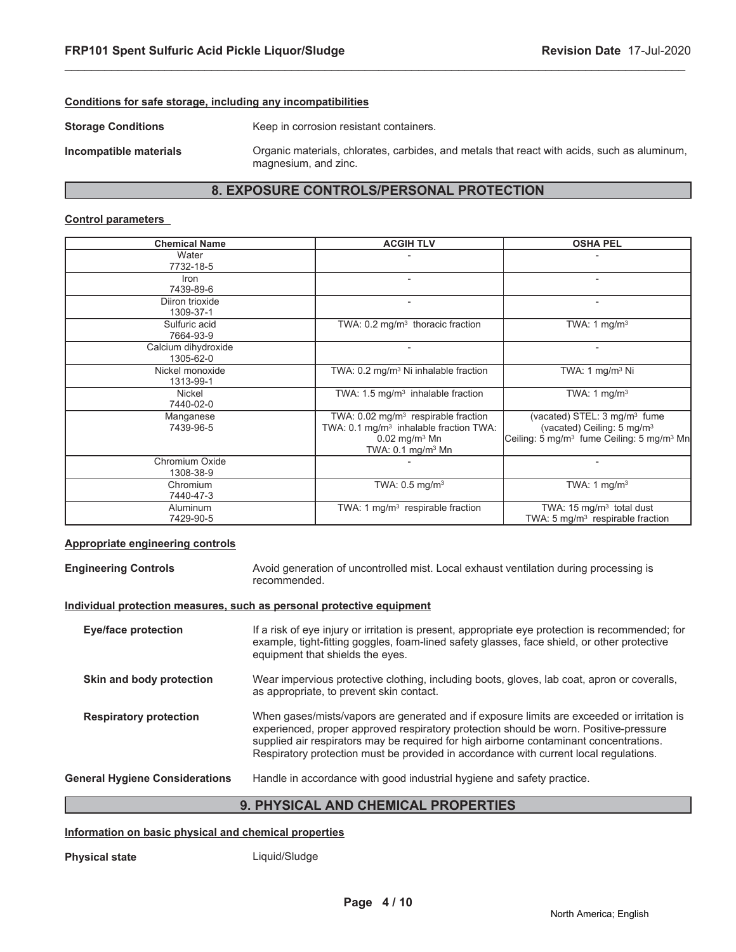#### **Conditions for safe storage, including any incompatibilities**

**Storage Conditions** Keep in corrosion resistant containers.

**Incompatible materials** Organic materials, chlorates, carbides, and metals that react with acids, such as aluminum, magnesium, and zinc.

# **8. EXPOSURE CONTROLS/PERSONAL PROTECTION**

\_\_\_\_\_\_\_\_\_\_\_\_\_\_\_\_\_\_\_\_\_\_\_\_\_\_\_\_\_\_\_\_\_\_\_\_\_\_\_\_\_\_\_\_\_\_\_\_\_\_\_\_\_\_\_\_\_\_\_\_\_\_\_\_\_\_\_\_\_\_\_\_\_\_\_\_\_\_\_\_\_\_\_\_\_\_\_\_\_\_\_\_\_

#### **Control parameters**

| <b>Chemical Name</b>             | <b>ACGIH TLV</b>                                                                                                                                                     | <b>OSHA PEL</b>                                                                                                                                         |
|----------------------------------|----------------------------------------------------------------------------------------------------------------------------------------------------------------------|---------------------------------------------------------------------------------------------------------------------------------------------------------|
| Water<br>7732-18-5               |                                                                                                                                                                      |                                                                                                                                                         |
| Iron<br>7439-89-6                |                                                                                                                                                                      |                                                                                                                                                         |
| Diiron trioxide<br>1309-37-1     |                                                                                                                                                                      |                                                                                                                                                         |
| Sulfuric acid<br>7664-93-9       | TWA: $0.2 \text{ mg/m}^3$ thoracic fraction                                                                                                                          | TWA: 1 $mg/m3$                                                                                                                                          |
| Calcium dihydroxide<br>1305-62-0 |                                                                                                                                                                      |                                                                                                                                                         |
| Nickel monoxide<br>1313-99-1     | TWA: 0.2 mg/m <sup>3</sup> Ni inhalable fraction                                                                                                                     | TWA: $1 \text{ mg/m}^3$ Ni                                                                                                                              |
| Nickel<br>7440-02-0              | TWA: $1.5 \text{ mg/m}^3$ inhalable fraction                                                                                                                         | TWA: 1 $mq/m3$                                                                                                                                          |
| Manganese<br>7439-96-5           | TWA: 0.02 mg/m <sup>3</sup> respirable fraction<br>TWA: 0.1 mg/m <sup>3</sup> inhalable fraction TWA:<br>$0.02$ mg/m <sup>3</sup> Mn<br>TWA: $0.1 \text{ mg/m}^3$ Mn | (vacated) STEL: 3 mg/m <sup>3</sup> fume<br>(vacated) Ceiling: 5 mg/m <sup>3</sup><br>Ceiling: 5 mg/m <sup>3</sup> fume Ceiling: 5 mg/m <sup>3</sup> Mn |
| Chromium Oxide<br>1308-38-9      |                                                                                                                                                                      |                                                                                                                                                         |
| Chromium<br>7440-47-3            | TWA: $0.5$ mg/m <sup>3</sup>                                                                                                                                         | TWA: 1 $mg/m3$                                                                                                                                          |
| Aluminum<br>7429-90-5            | TWA: 1 $mq/m3$ respirable fraction                                                                                                                                   | TWA: $15 \text{ mg/m}^3$ total dust<br>TWA: $5 \text{ mg/m}^3$ respirable fraction                                                                      |

#### **Appropriate engineering controls**

**Engineering Controls** Avoid generation of uncontrolled mist. Local exhaust ventilation during processing is recommended.

#### **Individual protection measures, such as personal protective equipment**

|                                | BUVAIA 41. AND AUFMALI<br>---------                                                                                                                                                                                                                                                                                                                                    |
|--------------------------------|------------------------------------------------------------------------------------------------------------------------------------------------------------------------------------------------------------------------------------------------------------------------------------------------------------------------------------------------------------------------|
| General Hygiene Considerations | Handle in accordance with good industrial hygiene and safety practice.                                                                                                                                                                                                                                                                                                 |
| <b>Respiratory protection</b>  | When gases/mists/vapors are generated and if exposure limits are exceeded or irritation is<br>experienced, proper approved respiratory protection should be worn. Positive-pressure<br>supplied air respirators may be required for high airborne contaminant concentrations.<br>Respiratory protection must be provided in accordance with current local regulations. |
| Skin and body protection       | Wear impervious protective clothing, including boots, gloves, lab coat, apron or coveralls,<br>as appropriate, to prevent skin contact.                                                                                                                                                                                                                                |
| Eye/face protection            | If a risk of eye injury or irritation is present, appropriate eye protection is recommended; for<br>example, tight-fitting goggles, foam-lined safety glasses, face shield, or other protective<br>equipment that shields the eyes.                                                                                                                                    |
|                                |                                                                                                                                                                                                                                                                                                                                                                        |

#### **9. PHYSICAL AND CHEMICAL PROPERTIES**

#### **Information on basic physical and chemical properties**

**Physical state Liquid/Sludge**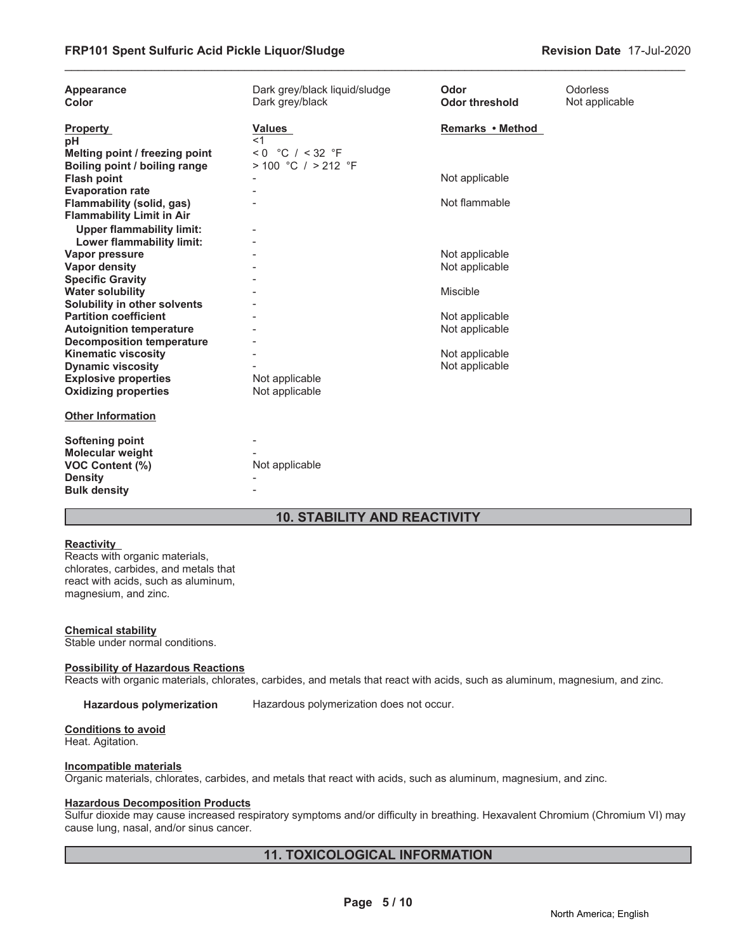| Appearance<br>Color                                                                                    | Dark grey/black liquid/sludge<br>Dark grey/black | Odor<br><b>Odor threshold</b>    | <b>Odorless</b><br>Not applicable |
|--------------------------------------------------------------------------------------------------------|--------------------------------------------------|----------------------------------|-----------------------------------|
| <b>Property</b><br>рH<br>Melting point / freezing point                                                | <b>Values</b><br>$<$ 1<br>$< 0$ °C / < 32 °F     | Remarks • Method                 |                                   |
| Boiling point / boiling range                                                                          | $> 100$ °C $/ > 212$ °F                          |                                  |                                   |
| <b>Flash point</b><br><b>Evaporation rate</b>                                                          |                                                  | Not applicable                   |                                   |
| Flammability (solid, gas)<br><b>Flammability Limit in Air</b>                                          |                                                  | Not flammable                    |                                   |
| <b>Upper flammability limit:</b><br>Lower flammability limit:                                          |                                                  |                                  |                                   |
| Vapor pressure<br><b>Vapor density</b>                                                                 |                                                  | Not applicable<br>Not applicable |                                   |
| <b>Specific Gravity</b><br><b>Water solubility</b>                                                     |                                                  | Miscible                         |                                   |
| Solubility in other solvents                                                                           |                                                  |                                  |                                   |
| <b>Partition coefficient</b><br><b>Autoignition temperature</b>                                        |                                                  | Not applicable<br>Not applicable |                                   |
| <b>Decomposition temperature</b><br><b>Kinematic viscosity</b>                                         |                                                  | Not applicable                   |                                   |
| <b>Dynamic viscosity</b><br><b>Explosive properties</b><br><b>Oxidizing properties</b>                 | Not applicable<br>Not applicable                 | Not applicable                   |                                   |
| <b>Other Information</b>                                                                               |                                                  |                                  |                                   |
| <b>Softening point</b><br>Molecular weight<br>VOC Content (%)<br><b>Density</b><br><b>Bulk density</b> | Not applicable                                   |                                  |                                   |

# **10. STABILITY AND REACTIVITY**

#### **Reactivity**

Reacts with organic materials, chlorates, carbides, and metals that react with acids, such as aluminum, magnesium, and zinc.

#### **Chemical stability**

Stable under normal conditions.

#### **Possibility of Hazardous Reactions**

Reacts with organic materials, chlorates, carbides, and metals that react with acids, such as aluminum, magnesium, and zinc.

**Hazardous polymerization** Hazardous polymerization does not occur.

#### **Conditions to avoid**

Heat. Agitation.

#### **Incompatible materials**

Organic materials, chlorates, carbides, and metals that react with acids, such as aluminum, magnesium, and zinc.

#### **Hazardous Decomposition Products**

Sulfur dioxide may cause increased respiratory symptoms and/or difficulty in breathing. Hexavalent Chromium (Chromium VI) may cause lung, nasal, and/or sinus cancer.

# **11. TOXICOLOGICAL INFORMATION**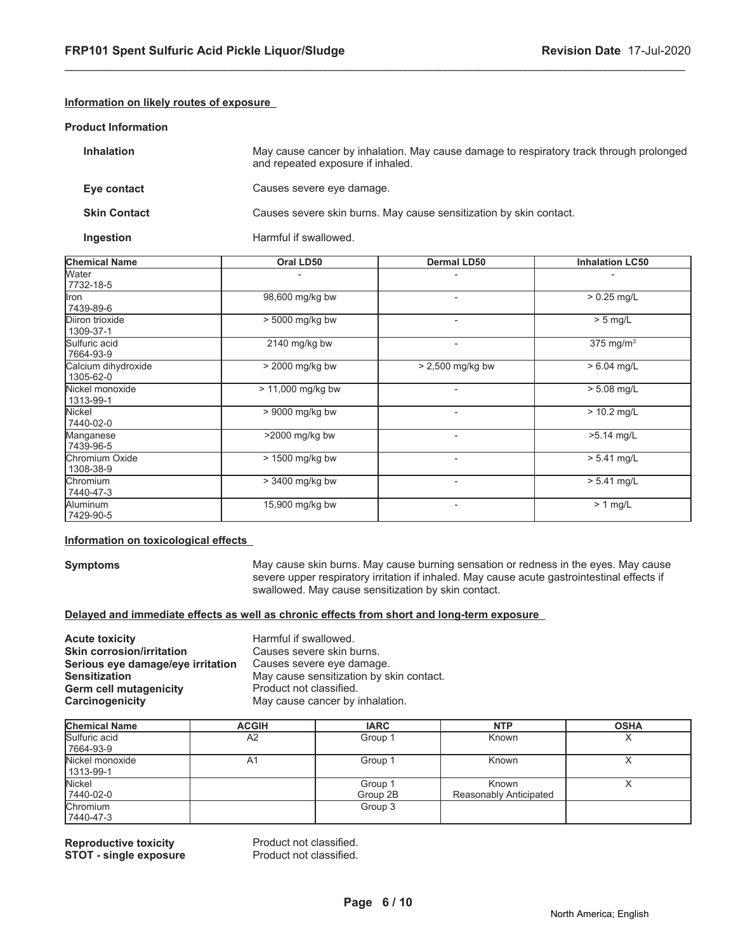#### **Information on likely routes of exposure**

#### **Product Information**

| <b>Inhalation</b>   | May cause cancer by inhalation. May cause damage to respiratory track through prolonged<br>and repeated exposure if inhaled. |
|---------------------|------------------------------------------------------------------------------------------------------------------------------|
| Eye contact         | Causes severe eye damage.                                                                                                    |
| <b>Skin Contact</b> | Causes severe skin burns. May cause sensitization by skin contact.                                                           |
| Ingestion           | Harmful if swallowed.                                                                                                        |

\_\_\_\_\_\_\_\_\_\_\_\_\_\_\_\_\_\_\_\_\_\_\_\_\_\_\_\_\_\_\_\_\_\_\_\_\_\_\_\_\_\_\_\_\_\_\_\_\_\_\_\_\_\_\_\_\_\_\_\_\_\_\_\_\_\_\_\_\_\_\_\_\_\_\_\_\_\_\_\_\_\_\_\_\_\_\_\_\_\_\_\_\_

| <b>Chemical Name</b>             | Oral LD50         | Dermal LD50              | <b>Inhalation LC50</b> |
|----------------------------------|-------------------|--------------------------|------------------------|
| Water<br>7732-18-5               |                   |                          |                        |
| Iron<br>7439-89-6                | 98,600 mg/kg bw   | $\overline{\phantom{a}}$ | $> 0.25$ mg/L          |
| Diiron trioxide<br>1309-37-1     | > 5000 mg/kg bw   | $\overline{\phantom{a}}$ | $> 5$ mg/L             |
| Sulfuric acid<br>7664-93-9       | 2140 mg/kg bw     | $\overline{\phantom{a}}$ | $375 \text{ mg/m}^3$   |
| Calcium dihydroxide<br>1305-62-0 | > 2000 mg/kg bw   | $> 2,500$ mg/kg bw       | $> 6.04$ mg/L          |
| Nickel monoxide<br>1313-99-1     | > 11,000 mg/kg bw | $\blacksquare$           | $> 5.08$ mg/L          |
| Nickel<br>7440-02-0              | > 9000 mg/kg bw   | $\blacksquare$           | $> 10.2$ mg/L          |
| Manganese<br>7439-96-5           | >2000 mg/kg bw    | $\overline{\phantom{a}}$ | $>5.14$ mg/L           |
| Chromium Oxide<br>1308-38-9      | > 1500 mg/kg bw   | $\blacksquare$           | $> 5.41$ mg/L          |
| <b>Chromium</b><br>7440-47-3     | > 3400 mg/kg bw   | -                        | $> 5.41$ mg/L          |
| Aluminum<br>7429-90-5            | 15,900 mg/kg bw   | $\blacksquare$           | $> 1$ mg/L             |

#### **Information on toxicological effects**

**Symptoms** May cause skin burns. May cause burning sensation or redness in the eyes. May cause severe upper respiratory irritation if inhaled. May cause acute gastrointestinal effects if swallowed. May cause sensitization by skin contact.

#### **Delayed and immediate effects as well as chronic effects from short and long-term exposure**

**Acute toxicity**<br> **Acute toxicity**<br> **Skin corrosion/irritation**<br>
Causes severe skin burns. **Skin corrosion/irritation** Causes severe skin burns.<br>**Serious eye damage/eye irritation** Causes severe eye damage. Serious eye damage/eye irritation **Sensitization**<br> **Sensitization**<br> **Germ cell mutagenicity**<br> **Contact Act Product not classified. Germ cell mutagenicity<br>Carcinogenicity** May cause cancer by inhalation.

| <b>Chemical Name</b> | <b>ACGIH</b>   | <b>IARC</b> | <b>NTP</b>             | <b>OSHA</b> |
|----------------------|----------------|-------------|------------------------|-------------|
| Sulfuric acid        | A <sub>2</sub> | Group 1     | Known                  |             |
| 7664-93-9            |                |             |                        |             |
| Nickel monoxide      | A1             | Group 1     | Known                  |             |
| 1313-99-1            |                |             |                        |             |
| Nickel               |                | Group 1     | Known                  |             |
| 7440-02-0            |                | Group 2B    | Reasonably Anticipated |             |
| Chromium             |                | Group 3     |                        |             |
| 7440-47-3            |                |             |                        |             |

**Reproductive toxicity example 3 and Product not classified.**<br> **STOT - single exposure** Product not classified. **STOT - single exposure**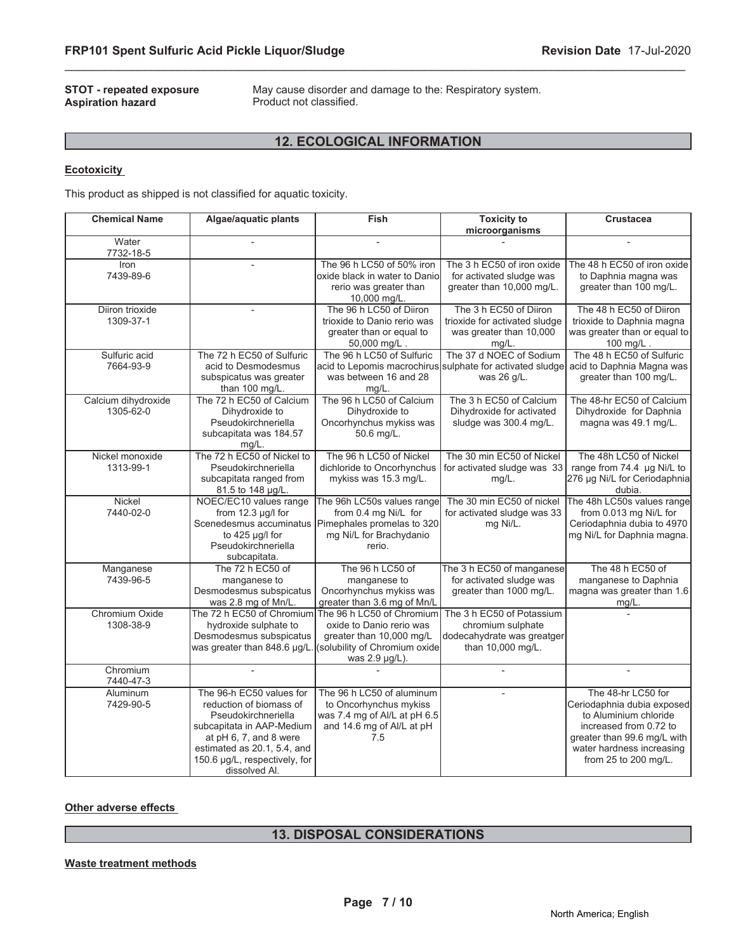**STOT - repeated exposure** May cause disorder and damage to the: Respiratory system.<br>**Aspiration hazard** Product not classified. Product not classified.

# **12. ECOLOGICAL INFORMATION**

\_\_\_\_\_\_\_\_\_\_\_\_\_\_\_\_\_\_\_\_\_\_\_\_\_\_\_\_\_\_\_\_\_\_\_\_\_\_\_\_\_\_\_\_\_\_\_\_\_\_\_\_\_\_\_\_\_\_\_\_\_\_\_\_\_\_\_\_\_\_\_\_\_\_\_\_\_\_\_\_\_\_\_\_\_\_\_\_\_\_\_\_\_

#### **Ecotoxicity**

This product as shipped is not classified for aquatic toxicity.

| <b>Chemical Name</b>             | Algae/aquatic plants                                                                                                                                                                                               | Fish                                                                                                                                                           | <b>Toxicity to</b><br>microorganisms                                                              | <b>Crustacea</b>                                                                                                                                                                        |
|----------------------------------|--------------------------------------------------------------------------------------------------------------------------------------------------------------------------------------------------------------------|----------------------------------------------------------------------------------------------------------------------------------------------------------------|---------------------------------------------------------------------------------------------------|-----------------------------------------------------------------------------------------------------------------------------------------------------------------------------------------|
| Water<br>7732-18-5               |                                                                                                                                                                                                                    |                                                                                                                                                                |                                                                                                   |                                                                                                                                                                                         |
| Iron<br>7439-89-6                |                                                                                                                                                                                                                    | The 96 h LC50 of 50% iron<br>oxide black in water to Daniol<br>rerio was greater than<br>10,000 mg/L.                                                          | The 3 h EC50 of iron oxide<br>for activated sludge was<br>greater than 10,000 mg/L.               | The 48 h EC50 of iron oxide<br>to Daphnia magna was<br>greater than 100 mg/L.                                                                                                           |
| Diiron trioxide<br>1309-37-1     | $\overline{a}$                                                                                                                                                                                                     | The 96 h LC50 of Diiron<br>trioxide to Danio rerio was<br>greater than or equal to<br>50,000 mg/L.                                                             | The 3 h EC50 of Diiron<br>trioxide for activated sludge<br>was greater than 10,000<br>$mg/L$ .    | The 48 h EC50 of Diiron<br>trioxide to Daphnia magna<br>was greater than or equal to<br>100 mg/L.                                                                                       |
| Sulfuric acid<br>7664-93-9       | The 72 h EC50 of Sulfuric<br>acid to Desmodesmus<br>subspicatus was greater<br>than 100 mg/L.                                                                                                                      | The 96 h LC50 of Sulfuric<br>acid to Lepomis macrochirus<br>was between 16 and 28<br>$mg/L$ .                                                                  | The 37 d NOEC of Sodium<br>sulphate for activated sludge<br>was 26 g/L.                           | The 48 h EC50 of Sulfuric<br>acid to Daphnia Magna was<br>greater than 100 mg/L.                                                                                                        |
| Calcium dihydroxide<br>1305-62-0 | The 72 h EC50 of Calcium<br>Dihydroxide to<br>Pseudokirchneriella<br>subcapitata was 184.57<br>$mg/L$ .                                                                                                            | The 96 h LC50 of Calcium<br>Dihydroxide to<br>Oncorhynchus mykiss was<br>50.6 mg/L.                                                                            | The 3 h EC50 of Calcium<br>Dihydroxide for activated<br>sludge was 300.4 mg/L.                    | The 48-hr EC50 of Calcium<br>Dihydroxide for Daphnia<br>magna was 49.1 mg/L.                                                                                                            |
| Nickel monoxide<br>1313-99-1     | The 72 h EC50 of Nickel to<br>Pseudokirchneriella<br>subcapitata ranged from<br>81.5 to 148 µg/L.                                                                                                                  | The 96 h LC50 of Nickel<br>dichloride to Oncorhynchus<br>mykiss was 15.3 mg/L.                                                                                 | The 30 min EC50 of Nickel<br>for activated sludge was 33<br>$mg/L$ .                              | The 48h LC50 of Nickel<br>range from 74.4 µg Ni/L to<br>276 µg Ni/L for Ceriodaphnia<br>dubia.                                                                                          |
| Nickel<br>7440-02-0              | NOEC/EC10 values range<br>from 12.3 µg/l for<br>to 425 µg/l for<br>Pseudokirchneriella<br>subcapitata.                                                                                                             | The 96h LC50s values range<br>from 0.4 mg Ni/L for<br>Scenedesmus accuminatus Pimephales promelas to 320<br>mg Ni/L for Brachydanio<br>rerio.                  | The 30 min EC50 of nickel<br>for activated sludge was 33<br>mg Ni/L.                              | The 48h LC50s values range<br>from 0.013 mg Ni/L for<br>Ceriodaphnia dubia to 4970<br>mg Ni/L for Daphnia magna.                                                                        |
| Manganese<br>7439-96-5           | The 72 h EC50 of<br>manganese to<br>Desmodesmus subspicatus<br>was 2.8 mg of Mn/L.                                                                                                                                 | The 96 h LC50 of<br>manganese to<br>Oncorhynchus mykiss was<br>greater than 3.6 mg of Mn/L                                                                     | The 3 h EC50 of manganese<br>for activated sludge was<br>greater than 1000 mg/L.                  | The 48 h EC50 of<br>manganese to Daphnia<br>magna was greater than 1.6<br>$mg/L$ .                                                                                                      |
| Chromium Oxide<br>1308-38-9      | hydroxide sulphate to<br>Desmodesmus subspicatus<br>was greater than 848.6 µg/L.                                                                                                                                   | The 72 h EC50 of Chromium The 96 h LC50 of Chromium<br>oxide to Danio rerio was<br>greater than 10,000 mg/L<br>(solubility of Chromium oxide<br>was 2.9 µg/L). | The 3 h EC50 of Potassium<br>chromium sulphate<br>dodecahydrate was greatger<br>than 10,000 mg/L. |                                                                                                                                                                                         |
| Chromium<br>7440-47-3            |                                                                                                                                                                                                                    |                                                                                                                                                                |                                                                                                   |                                                                                                                                                                                         |
| Aluminum<br>7429-90-5            | The 96-h EC50 values for<br>reduction of biomass of<br>Pseudokirchneriella<br>subcapitata in AAP-Medium<br>at pH 6, 7, and 8 were<br>estimated as 20.1, 5.4, and<br>150.6 µg/L, respectively, for<br>dissolved Al. | The 96 h LC50 of aluminum<br>to Oncorhynchus mykiss<br>was 7.4 mg of Al/L at pH 6.5<br>and 14.6 mg of Al/L at pH<br>7.5                                        |                                                                                                   | The 48-hr LC50 for<br>Ceriodaphnia dubia exposed<br>to Aluminium chloride<br>increased from 0.72 to<br>greater than 99.6 mg/L with<br>water hardness increasing<br>from 25 to 200 mg/L. |

**Other adverse effects**

# **13. DISPOSAL CONSIDERATIONS**

#### **Waste treatment methods**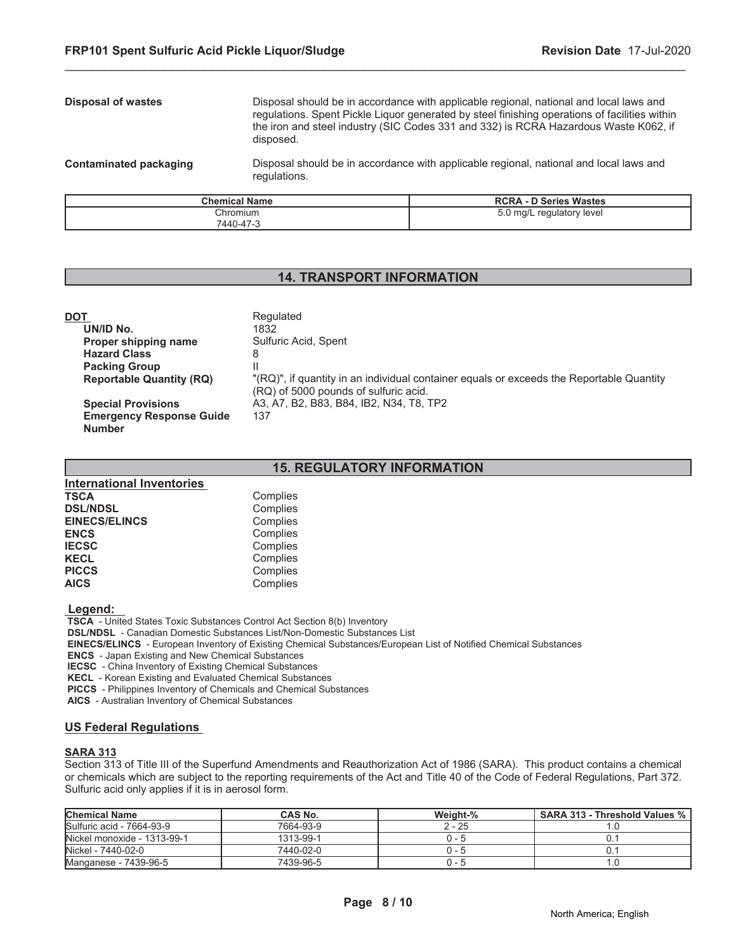# **Disposal of wastes** Disposal should be in accordance with applicable regional, national and local laws and regulations. Spent Pickle Liquor generated by steel finishing operations of facilities within the iron and steel industry (SIC Codes 331 and 332) is RCRA Hazardous Waste K062, if disposed. **Contaminated packaging** Disposal should be in accordance with applicable regional, national and local laws and regulations.

\_\_\_\_\_\_\_\_\_\_\_\_\_\_\_\_\_\_\_\_\_\_\_\_\_\_\_\_\_\_\_\_\_\_\_\_\_\_\_\_\_\_\_\_\_\_\_\_\_\_\_\_\_\_\_\_\_\_\_\_\_\_\_\_\_\_\_\_\_\_\_\_\_\_\_\_\_\_\_\_\_\_\_\_\_\_\_\_\_\_\_\_\_

| <b>Chemical Name</b> | <b>RCRA - D Series Wastes</b> |
|----------------------|-------------------------------|
| Chromium             | 5.0 mg/L regulatory level     |
| 7440-47-3            |                               |

# **14. TRANSPORT INFORMATION**

| DOT                             | Regulated                                                                                                                          |
|---------------------------------|------------------------------------------------------------------------------------------------------------------------------------|
| UN/ID No.                       | 1832                                                                                                                               |
| Proper shipping name            | Sulfuric Acid, Spent                                                                                                               |
| <b>Hazard Class</b>             | 8                                                                                                                                  |
| <b>Packing Group</b>            |                                                                                                                                    |
| <b>Reportable Quantity (RQ)</b> | "(RQ)", if quantity in an individual container equals or exceeds the Reportable Quantity"<br>(RQ) of 5000 pounds of sulfuric acid. |
| <b>Special Provisions</b>       | A3, A7, B2, B83, B84, IB2, N34, T8, TP2                                                                                            |
| <b>Emergency Response Guide</b> | 137                                                                                                                                |
| <b>Number</b>                   |                                                                                                                                    |

# **15. REGULATORY INFORMATION**

| <b>International Inventories</b> |          |
|----------------------------------|----------|
| <b>TSCA</b>                      | Complies |
| <b>DSL/NDSL</b>                  | Complies |
| <b>EINECS/ELINCS</b>             | Complies |
| <b>ENCS</b>                      | Complies |
| <b>IECSC</b>                     | Complies |
| <b>KECL</b>                      | Complies |
| <b>PICCS</b>                     | Complies |
| <b>AICS</b>                      | Complies |

 **Legend:** 

 **TSCA** - United States Toxic Substances Control Act Section 8(b) Inventory

 **DSL/NDSL** - Canadian Domestic Substances List/Non-Domestic Substances List

 **EINECS/ELINCS** - European Inventory of Existing Chemical Substances/European List of Notified Chemical Substances

 **ENCS** - Japan Existing and New Chemical Substances

**IECSC** - China Inventory of Existing Chemical Substances

 **KECL** - Korean Existing and Evaluated Chemical Substances

 **PICCS** - Philippines Inventory of Chemicals and Chemical Substances

 **AICS** - Australian Inventory of Chemical Substances

#### **US Federal Regulations**

#### **SARA 313**

Section 313 of Title III of the Superfund Amendments and Reauthorization Act of 1986 (SARA). This product contains a chemical or chemicals which are subject to the reporting requirements of the Act and Title 40 of the Code of Federal Regulations, Part 372. Sulfuric acid only applies if it is in aerosol form.

| <b>Chemical Name</b>        | <b>CAS No.</b> | Weight-% | SARA 313 - Threshold Values % |
|-----------------------------|----------------|----------|-------------------------------|
| Sulfuric acid - 7664-93-9   | 7664-93-9      | $2 - 25$ |                               |
| Nickel monoxide - 1313-99-1 | 1313-99-1      | ი - 5    |                               |
| Nickel - 7440-02-0          | 7440-02-0      | 0 - 5    |                               |
| Manganese - 7439-96-5       | 7439-96-5      | 0 - 5    |                               |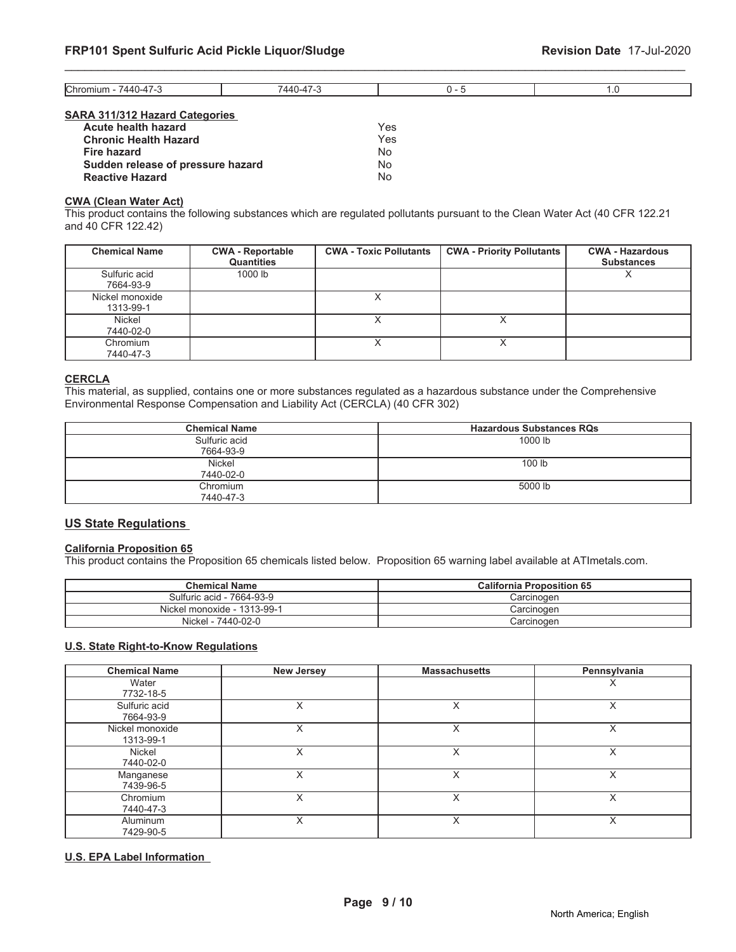| SARA 311/312 Hazard Categories |  |  |  |  |
|--------------------------------|--|--|--|--|

| Acute health hazard               | <b>Yes</b> |
|-----------------------------------|------------|
| <b>Chronic Health Hazard</b>      | Yes        |
| <b>Fire hazard</b>                | Nο         |
| Sudden release of pressure hazard | No         |
| <b>Reactive Hazard</b>            | Nο         |

#### **CWA (Clean Water Act)**

This product contains the following substances which are regulated pollutants pursuant to the Clean Water Act (40 CFR 122.21 and 40 CFR 122.42)

| <b>Chemical Name</b>         | <b>CWA - Reportable</b><br><b>Quantities</b> | <b>CWA - Toxic Pollutants</b> | <b>CWA - Priority Pollutants</b> | <b>CWA - Hazardous</b><br><b>Substances</b> |
|------------------------------|----------------------------------------------|-------------------------------|----------------------------------|---------------------------------------------|
| Sulfuric acid<br>7664-93-9   | 1000 lb                                      |                               |                                  |                                             |
| Nickel monoxide<br>1313-99-1 |                                              |                               |                                  |                                             |
| Nickel<br>7440-02-0          |                                              |                               | $\check{ }$<br>⋏                 |                                             |
| Chromium<br>7440-47-3        |                                              |                               | Х                                |                                             |

# **CERCLA**

This material, as supplied, contains one or more substances regulated as a hazardous substance under the Comprehensive Environmental Response Compensation and Liability Act (CERCLA) (40 CFR 302)

| <b>Chemical Name</b>       | <b>Hazardous Substances RQs</b> |
|----------------------------|---------------------------------|
| Sulfuric acid<br>7664-93-9 | 1000 lb                         |
| <b>Nickel</b><br>7440-02-0 | 100 <sub>lb</sub>               |
| Chromium<br>7440-47-3      | 5000 lb                         |

# **US State Regulations**

# **California Proposition 65**

This product contains the Proposition 65 chemicals listed below. Proposition 65 warning label available at ATImetals.com.

| <b>Chemical Name</b>        | <b>California Proposition 65</b> |
|-----------------------------|----------------------------------|
| Sulfuric acid - 7664-93-9   | Carcinogen                       |
| Nickel monoxide - 1313-99-1 | Carcinoɑen                       |
| Nickel - 7440-02-0          | Carcinogen                       |

#### **U.S. State Right-to-Know Regulations**

| <b>Chemical Name</b>         | <b>New Jersey</b> | <b>Massachusetts</b> | Pennsylvania |
|------------------------------|-------------------|----------------------|--------------|
| Water<br>7732-18-5           |                   |                      | ⋏            |
| Sulfuric acid<br>7664-93-9   | X                 |                      | X            |
| Nickel monoxide<br>1313-99-1 | X                 | X                    | X            |
| Nickel<br>7440-02-0          | X                 | X                    | x            |
| Manganese<br>7439-96-5       | X                 | X                    | X            |
| Chromium<br>7440-47-3        | X                 | X                    | X            |
| <b>Aluminum</b><br>7429-90-5 | X                 | X                    | X            |

#### **U.S. EPA Label Information**